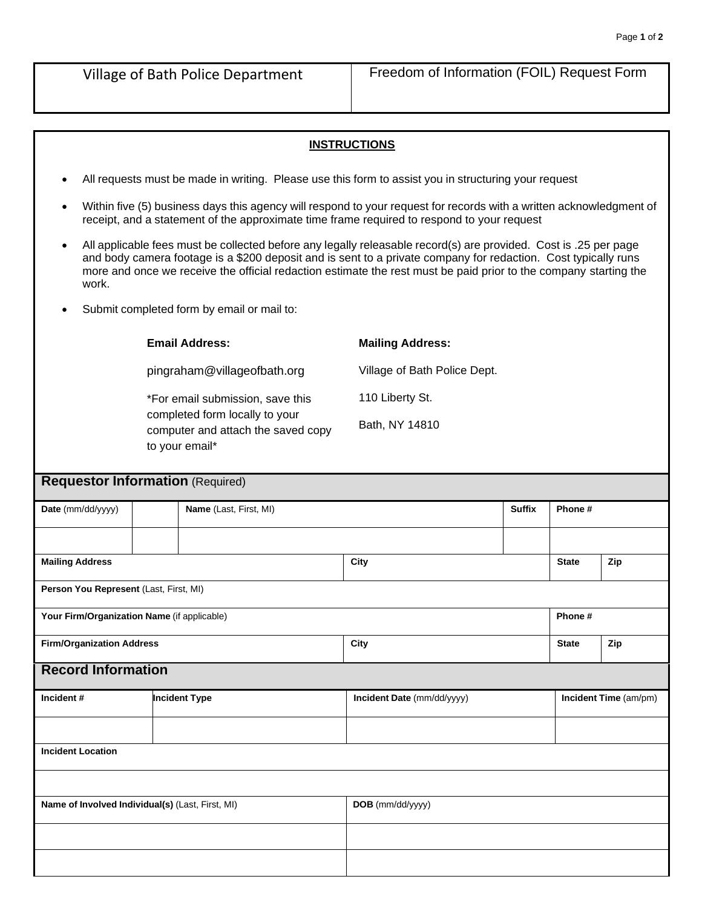## **INSTRUCTIONS**

- All requests must be made in writing. Please use this form to assist you in structuring your request
- Within five (5) business days this agency will respond to your request for records with a written acknowledgment of receipt, and a statement of the approximate time frame required to respond to your request
- All applicable fees must be collected before any legally releasable record(s) are provided. Cost is .25 per page and body camera footage is a \$200 deposit and is sent to a private company for redaction. Cost typically runs more and once we receive the official redaction estimate the rest must be paid prior to the company starting the work.
- Submit completed form by email or mail to:

|                                                  | <b>Email Address:</b>                                                                                                      |                        | <b>Mailing Address:</b>      |               |              |                       |
|--------------------------------------------------|----------------------------------------------------------------------------------------------------------------------------|------------------------|------------------------------|---------------|--------------|-----------------------|
|                                                  | pingraham@villageofbath.org                                                                                                |                        | Village of Bath Police Dept. |               |              |                       |
|                                                  | *For email submission, save this<br>completed form locally to your<br>computer and attach the saved copy<br>to your email* |                        | 110 Liberty St.              |               |              |                       |
|                                                  |                                                                                                                            |                        | Bath, NY 14810               |               |              |                       |
| <b>Requestor Information (Required)</b>          |                                                                                                                            |                        |                              |               |              |                       |
| Date (mm/dd/yyyy)                                |                                                                                                                            | Name (Last, First, MI) |                              | <b>Suffix</b> | Phone#       |                       |
|                                                  |                                                                                                                            |                        |                              |               |              |                       |
| <b>Mailing Address</b>                           |                                                                                                                            |                        | City                         |               | <b>State</b> | Zip                   |
| Person You Represent (Last, First, MI)           |                                                                                                                            |                        |                              |               |              |                       |
| Your Firm/Organization Name (if applicable)      |                                                                                                                            |                        | Phone#                       |               |              |                       |
| <b>Firm/Organization Address</b>                 |                                                                                                                            |                        | City                         |               | <b>State</b> | Zip                   |
| <b>Record Information</b>                        |                                                                                                                            |                        |                              |               |              |                       |
| Incident#                                        |                                                                                                                            | <b>Incident Type</b>   | Incident Date (mm/dd/yyyy)   |               |              | Incident Time (am/pm) |
| <b>Incident Location</b>                         |                                                                                                                            |                        |                              |               |              |                       |
|                                                  |                                                                                                                            |                        |                              |               |              |                       |
| Name of Involved Individual(s) (Last, First, MI) |                                                                                                                            |                        | DOB (mm/dd/yyyy)             |               |              |                       |
|                                                  |                                                                                                                            |                        |                              |               |              |                       |
|                                                  |                                                                                                                            |                        |                              |               |              |                       |